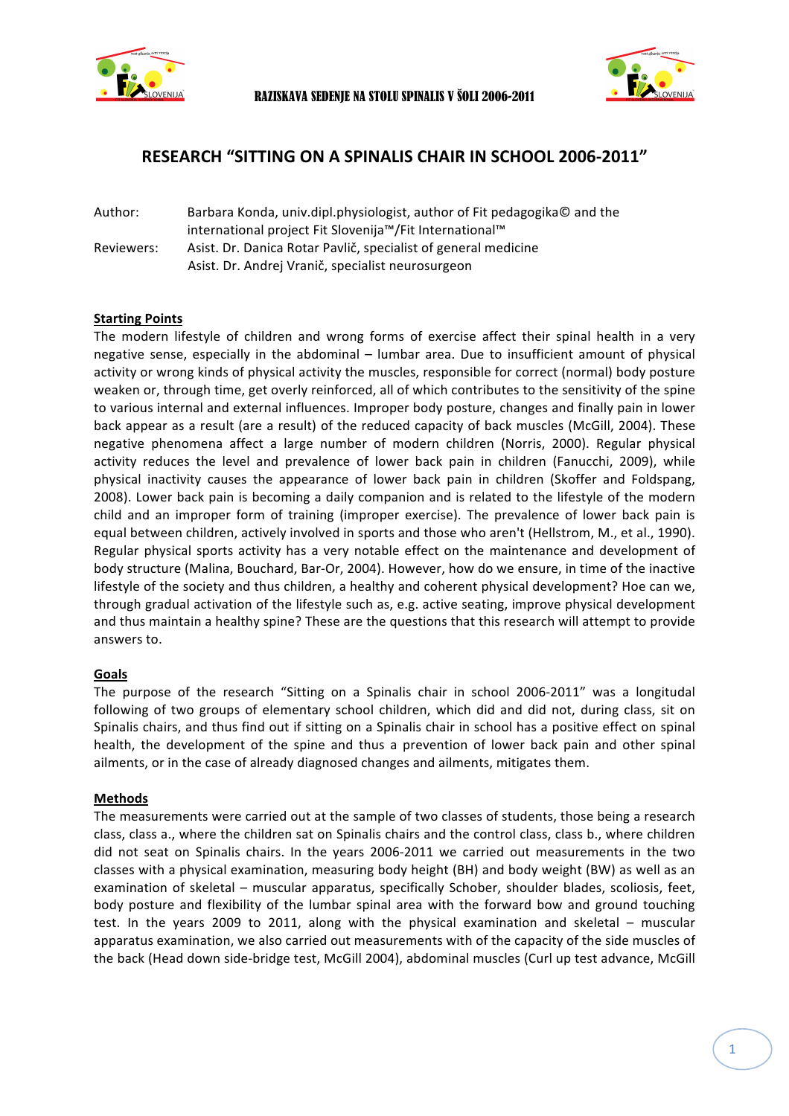



# **RESEARCH "SITTING ON A SPINALIS CHAIR IN SCHOOL 2006-2011"**

Author: Barbara Konda, univ.dipl.physiologist, author of Fit pedagogika© and the international project Fit Slovenija™/Fit International™ Reviewers: Asist. Dr. Danica Rotar Pavlič, specialist of general medicine Asist. Dr. Andrej Vranič, specialist neurosurgeon

## **Starting Points**

The modern lifestyle of children and wrong forms of exercise affect their spinal health in a very negative sense, especially in the abdominal – lumbar area. Due to insufficient amount of physical activity or wrong kinds of physical activity the muscles, responsible for correct (normal) body posture weaken or, through time, get overly reinforced, all of which contributes to the sensitivity of the spine to various internal and external influences. Improper body posture, changes and finally pain in lower back appear as a result (are a result) of the reduced capacity of back muscles (McGill, 2004). These negative phenomena affect a large number of modern children (Norris, 2000). Regular physical activity reduces the level and prevalence of lower back pain in children (Fanucchi, 2009), while physical inactivity causes the appearance of lower back pain in children (Skoffer and Foldspang, 2008). Lower back pain is becoming a daily companion and is related to the lifestyle of the modern child and an improper form of training (improper exercise). The prevalence of lower back pain is equal between children, actively involved in sports and those who aren't (Hellstrom, M., et al., 1990). Regular physical sports activity has a very notable effect on the maintenance and development of body structure (Malina, Bouchard, Bar-Or, 2004). However, how do we ensure, in time of the inactive lifestyle of the society and thus children, a healthy and coherent physical development? Hoe can we, through gradual activation of the lifestyle such as, e.g. active seating, improve physical development and thus maintain a healthy spine? These are the questions that this research will attempt to provide answers to.

#### **Goals**

The purpose of the research "Sitting on a Spinalis chair in school 2006-2011" was a longitudal following of two groups of elementary school children, which did and did not, during class, sit on Spinalis chairs, and thus find out if sitting on a Spinalis chair in school has a positive effect on spinal health, the development of the spine and thus a prevention of lower back pain and other spinal ailments, or in the case of already diagnosed changes and ailments, mitigates them.

#### **Methods**

The measurements were carried out at the sample of two classes of students, those being a research class, class a., where the children sat on Spinalis chairs and the control class, class b., where children did not seat on Spinalis chairs. In the years 2006-2011 we carried out measurements in the two classes with a physical examination, measuring body height (BH) and body weight (BW) as well as an examination of skeletal – muscular apparatus, specifically Schober, shoulder blades, scoliosis, feet, body posture and flexibility of the lumbar spinal area with the forward bow and ground touching test. In the years 2009 to 2011, along with the physical examination and skeletal – muscular apparatus examination, we also carried out measurements with of the capacity of the side muscles of the back (Head down side-bridge test, McGill 2004), abdominal muscles (Curl up test advance, McGill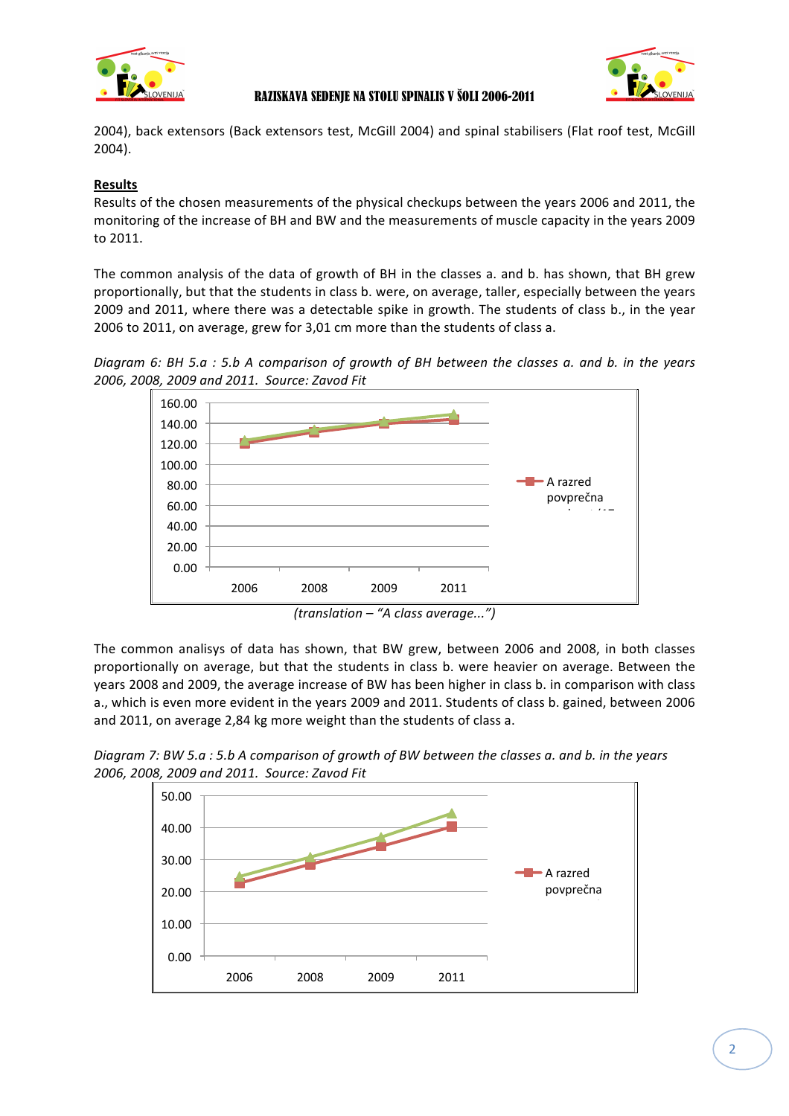



## RAZISKAVA SEDENJE NA STOLU SPINALIS V ŠOLI 2006-2011

2004), back extensors (Back extensors test, McGill 2004) and spinal stabilisers (Flat roof test, McGill 2004). 

## **Results**

Results of the chosen measurements of the physical checkups between the years 2006 and 2011, the monitoring of the increase of BH and BW and the measurements of muscle capacity in the years 2009 to 2011.

The common analysis of the data of growth of BH in the classes a. and b. has shown, that BH grew proportionally, but that the students in class b. were, on average, taller, especially between the years 2009 and 2011, where there was a detectable spike in growth. The students of class b., in the year 2006 to 2011, on average, grew for 3,01 cm more than the students of class a.

*Diagram* 6: BH 5.a : 5.b A comparison of growth of BH between the classes a. and b. in the years *2006, 2008, 2009 and 2011. Source: Zavod Fit*



*(translation – "A class average...")*

The common analisys of data has shown, that BW grew, between 2006 and 2008, in both classes proportionally on average, but that the students in class b. were heavier on average. Between the years 2008 and 2009, the average increase of BW has been higher in class b. in comparison with class a., which is even more evident in the years 2009 and 2011. Students of class b. gained, between 2006 and 2011, on average 2,84 kg more weight than the students of class a.

*Diagram 7:* BW 5.a : 5.b A comparison of growth of BW between the classes a. and b. in the years *2006, 2008, 2009 and 2011. Source: Zavod Fit*

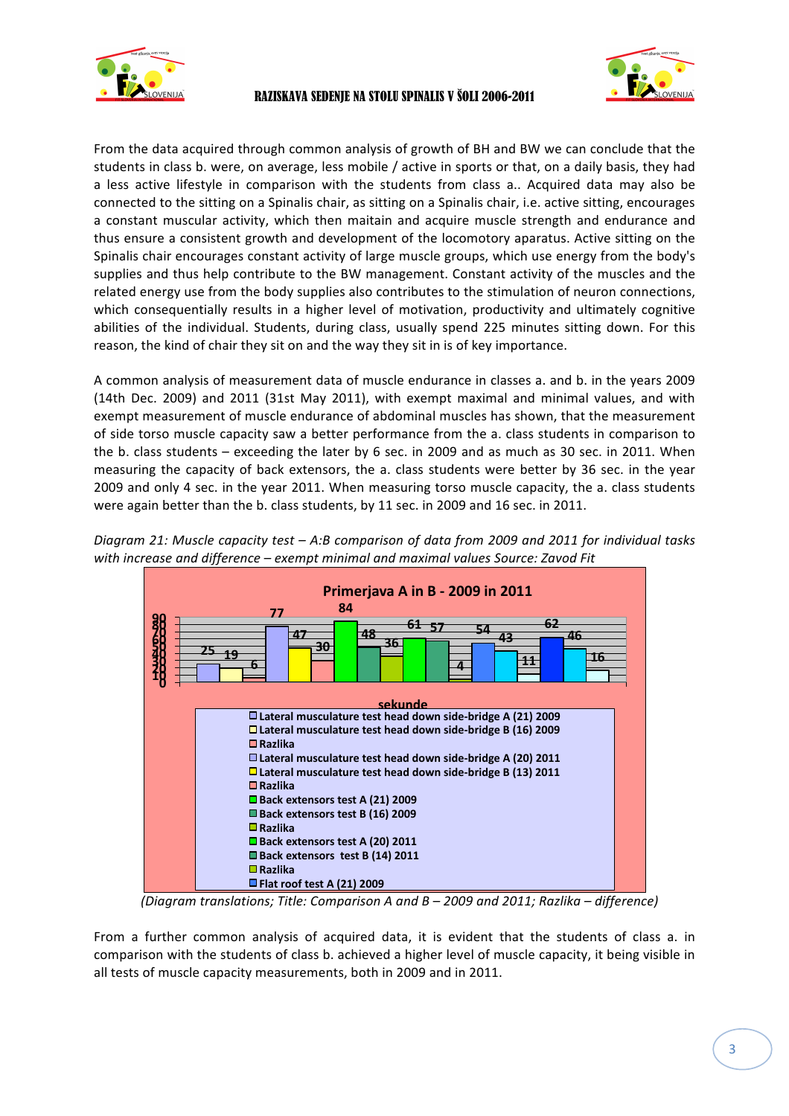



From the data acquired through common analysis of growth of BH and BW we can conclude that the students in class b. were, on average, less mobile / active in sports or that, on a daily basis, they had a less active lifestyle in comparison with the students from class a.. Acquired data may also be connected to the sitting on a Spinalis chair, as sitting on a Spinalis chair, i.e. active sitting, encourages a constant muscular activity, which then maitain and acquire muscle strength and endurance and thus ensure a consistent growth and development of the locomotory aparatus. Active sitting on the Spinalis chair encourages constant activity of large muscle groups, which use energy from the body's supplies and thus help contribute to the BW management. Constant activity of the muscles and the related energy use from the body supplies also contributes to the stimulation of neuron connections, which consequentially results in a higher level of motivation, productivity and ultimately cognitive abilities of the individual. Students, during class, usually spend 225 minutes sitting down. For this reason, the kind of chair they sit on and the way they sit in is of key importance.

A common analysis of measurement data of muscle endurance in classes a. and b. in the years 2009 (14th Dec. 2009) and 2011 (31st May 2011), with exempt maximal and minimal values, and with exempt measurement of muscle endurance of abdominal muscles has shown, that the measurement of side torso muscle capacity saw a better performance from the a. class students in comparison to the b. class students – exceeding the later by 6 sec. in 2009 and as much as 30 sec. in 2011. When measuring the capacity of back extensors, the a. class students were better by 36 sec. in the year 2009 and only 4 sec. in the year 2011. When measuring torso muscle capacity, the a. class students were again better than the b. class students, by 11 sec. in 2009 and 16 sec. in 2011.



*Diagram* 21: Muscle capacity test – A:B comparison of data from 2009 and 2011 for individual tasks with increase and difference – exempt minimal and maximal values Source: Zavod Fit

*(Diagram translations; Title: Comparison A and B – 2009 and 2011; Razlika – difference)*

From a further common analysis of acquired data, it is evident that the students of class a. in comparison with the students of class b. achieved a higher level of muscle capacity, it being visible in all tests of muscle capacity measurements, both in 2009 and in 2011.